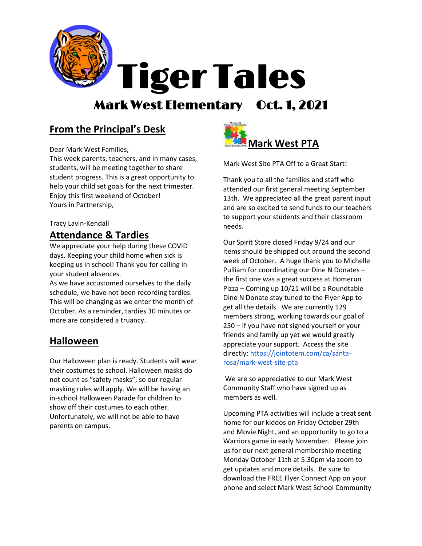

## **From the Principal's Desk**

Dear Mark West Families,

This week parents, teachers, and in many cases, students, will be meeting together to share student progress. This is a great opportunity to help your child set goals for the next trimester. Enjoy this first weekend of October! Yours in Partnership,

#### Tracy Lavin-Kendall

### **Attendance & Tardies**

We appreciate your help during these COVID days. Keeping your child home when sick is keeping us in school! Thank you for calling in your student absences.

As we have accustomed ourselves to the daily schedule, we have not been recording tardies. This will be changing as we enter the month of October. As a reminder, tardies 30 minutes or more are considered a truancy.

### **Halloween**

Our Halloween plan is ready. Students will wear their costumes to school. Halloween masks do not count as "safety masks", so our regular masking rules will apply. We will be having an in-school Halloween Parade for children to show off their costumes to each other. Unfortunately, we will not be able to have parents on campus.



Mark West Site PTA Off to a Great Start!

Thank you to all the families and staff who attended our first general meeting September 13th. We appreciated all the great parent input and are so excited to send funds to our teachers to support your students and their classroom needs.

Our Spirit Store closed Friday 9/24 and our items should be shipped out around the second week of October. A huge thank you to Michelle Pulliam for coordinating our Dine N Donates – the first one was a great success at Homerun Pizza – Coming up 10/21 will be a Roundtable Dine N Donate stay tuned to the Flyer App to get all the details. We are currently 129 members strong, working towards our goal of 250 – if you have not signed yourself or your friends and family up yet we would greatly appreciate your support. Access the site directly: [https://jointotem.com/ca/santa](https://jointotem.com/ca/santa-rosa/mark-west-site-pta)[rosa/mark-west-site-pta](https://jointotem.com/ca/santa-rosa/mark-west-site-pta)

We are so appreciative to our Mark West Community Staff who have signed up as members as well.

Upcoming PTA activities will include a treat sent home for our kiddos on Friday October 29th and Movie Night, and an opportunity to go to a Warriors game in early November. Please join us for our next general membership meeting Monday October 11th at 5:30pm via zoom to get updates and more details. Be sure to download the FREE Flyer Connect App on your phone and select Mark West School Community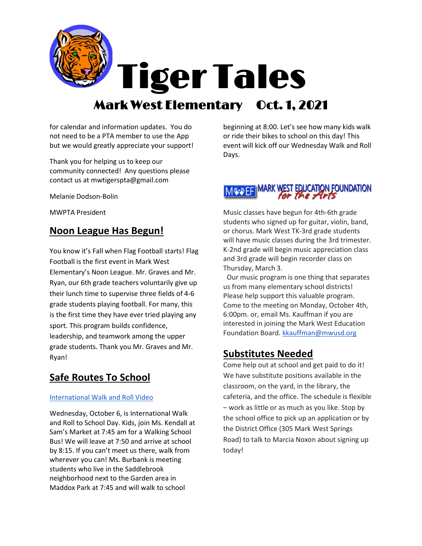

for calendar and information updates. You do not need to be a PTA member to use the App but we would greatly appreciate your support!

Thank you for helping us to keep our community connected! Any questions please contact us at mwtigerspta@gmail.com

Melanie Dodson-Bolin

MWPTA President

## **Noon League Has Begun!**

You know it's Fall when Flag Football starts! Flag Football is the first event in Mark West Elementary's Noon League. Mr. Graves and Mr. Ryan, our 6th grade teachers voluntarily give up their lunch time to supervise three fields of 4-6 grade students playing football. For many, this is the first time they have ever tried playing any sport. This program builds confidence, leadership, and teamwork among the upper grade students. Thank you Mr. Graves and Mr. Ryan!

## **Safe Routes To School**

#### [International Walk and Roll Video](https://www.youtube.com/watch?v=05P9iLfUYrk)

Wednesday, October 6, is International Walk and Roll to School Day. Kids, join Ms. Kendall at Sam's Market at 7:45 am for a Walking School Bus! We will leave at 7:50 and arrive at school by 8:15. If you can't meet us there, walk from wherever you can! Ms. Burbank is meeting students who live in the Saddlebrook neighborhood next to the Garden area in Maddox Park at 7:45 and will walk to school

beginning at 8:00. Let's see how many kids walk or ride their bikes to school on this day! This event will kick off our Wednesday Walk and Roll Days.

# **MARK WEST EDUCATION FOUNDATION**

Music classes have begun for 4th-6th grade students who signed up for guitar, violin, band, or chorus. Mark West TK-3rd grade students will have music classes during the 3rd trimester. K-2nd grade will begin music appreciation class and 3rd grade will begin recorder class on Thursday, March 3.

 Our music program is one thing that separates us from many elementary school districts! Please help support this valuable program. Come to the meeting on Monday, October 4th, 6:00pm. or, email Ms. Kauffman if you are interested in joining the Mark West Education Foundation Board[. kkauffman@mwusd.org](mailto:kkauffman@mwusd.org)

### **Substitutes Needed**

Come help out at school and get paid to do it! We have substitute positions available in the classroom, on the yard, in the library, the cafeteria, and the office. The schedule is flexible – work as little or as much as you like. Stop by the school office to pick up an application or by the District Office (305 Mark West Springs Road) to talk to Marcia Noxon about signing up today!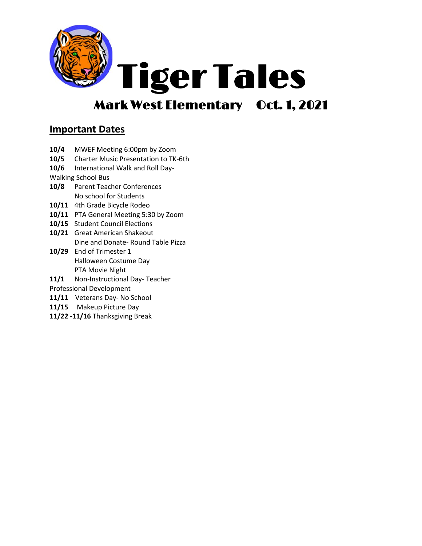

## **Important Dates**

- **10/4** MWEF Meeting 6:00pm by Zoom
- **10/5** Charter Music Presentation to TK-6th
- **10/6** International Walk and Roll Day-

Walking School Bus

- **10/8** Parent Teacher Conferences No school for Students
- **10/11** 4th Grade Bicycle Rodeo
- **10/11** PTA General Meeting 5:30 by Zoom
- **10/15** Student Council Elections
- **10/21** Great American Shakeout Dine and Donate- Round Table Pizza
- **10/29** End of Trimester 1 Halloween Costume Day PTA Movie Night
- **11/1** Non-Instructional Day- Teacher

Professional Development

- **11/11** Veterans Day- No School
- **11/15** Makeup Picture Day
- **11/22 -11/16** Thanksgiving Break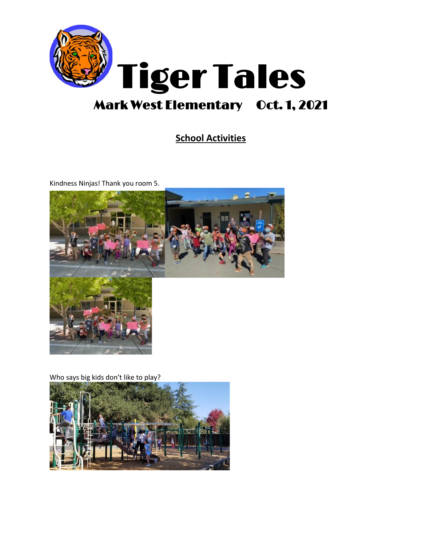

## **School Activities**

Kindness Ninjas! Thank you room 5.



Who says big kids don't like to play?